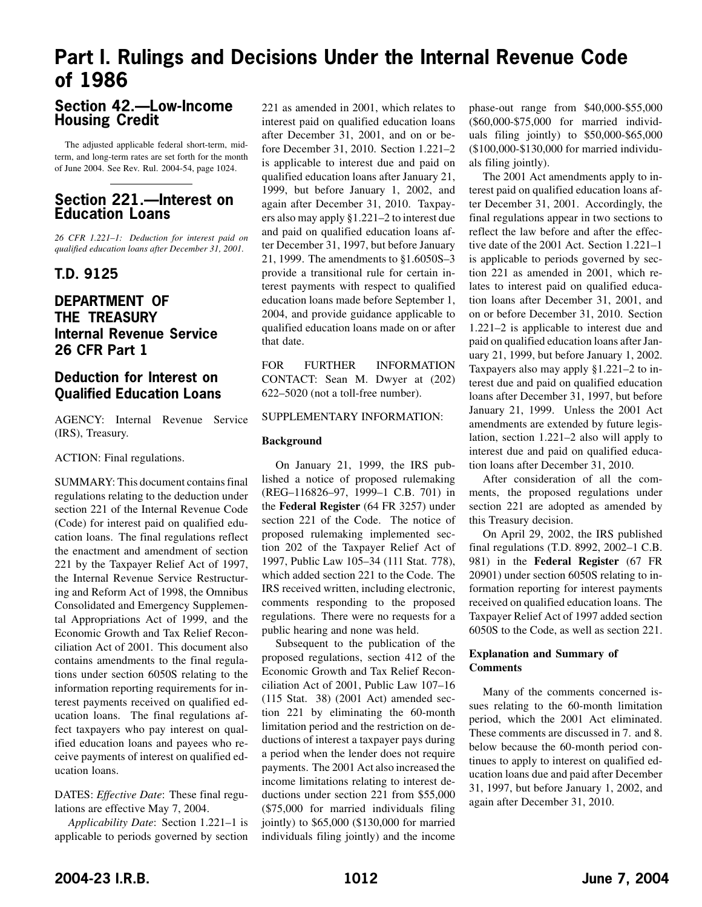# **Part I. Rulings and Decisions Under the Internal Revenue Code of 1986**

# **Section 42.—Low-Income Housing Credit**

The adjusted applicable federal short-term, midterm, and long-term rates are set forth for the month of June 2004. See Rev. Rul. 2004-54, page 1024.

# **Section 221.—Interest on Education Loans**

*26 CFR 1.221–1: Deduction for interest paid on qualified education loans after December 31, 2001.* 

## **T.D. 9125**

# **DEPARTMENT OF THE TREASURY Internal Revenue Service 26 CFR Part 1**

# **Deduction for Interest on Qualified Education Loans**

AGENCY: Internal Revenue Service (IRS), Treasury.

ACTION: Final regulations.

SUMMARY: This document contains final regulations relating to the deduction under section 221 of the Internal Revenue Code (Code) for interest paid on qualified education loans. The final regulations reflect the enactment and amendment of section 221 by the Taxpayer Relief Act of 1997, the Internal Revenue Service Restructuring and Reform Act of 1998, the Omnibus Consolidated and Emergency Supplemental Appropriations Act of 1999, and the Economic Growth and Tax Relief Reconciliation Act of 2001. This document also contains amendments to the final regulations under section 6050S relating to the information reporting requirements for interest payments received on qualified education loans. The final regulations affect taxpayers who pay interest on qualified education loans and payees who receive payments of interest on qualified education loans.

DATES: *Effective Date*: These final regulations are effective May 7, 2004.

*Applicability Date*: Section 1.221–1 is applicable to periods governed by section

221 as amended in 2001, which relates to interest paid on qualified education loans after December 31, 2001, and on or before December 31, 2010. Section 1.221–2 is applicable to interest due and paid on qualified education loans after January 21, 1999, but before January 1, 2002, and again after December 31, 2010. Taxpayers also may apply §1.221–2 to interest due and paid on qualified education loans after December 31, 1997, but before January 21, 1999. The amendments to §1.6050S–3 provide a transitional rule for certain interest payments with respect to qualified education loans made before September 1, 2004, and provide guidance applicable to qualified education loans made on or after that date.

FOR FURTHER INFORMATION CONTACT: Sean M. Dwyer at (202) 622–5020 (not a toll-free number).

### SUPPLEMENTARY INFORMATION:

### **Background**

On January 21, 1999, the IRS published a notice of proposed rulemaking (REG–116826–97, 1999–1 C.B. 701) in the **Federal Register** (64 FR 3257) under section 221 of the Code. The notice of proposed rulemaking implemented section 202 of the Taxpayer Relief Act of 1997, Public Law 105–34 (111 Stat. 778), which added section 221 to the Code. The IRS received written, including electronic, comments responding to the proposed regulations. There were no requests for a public hearing and none was held.

Subsequent to the publication of the proposed regulations, section 412 of the Economic Growth and Tax Relief Reconciliation Act of 2001, Public Law 107–16 (115 Stat. 38) (2001 Act) amended section 221 by eliminating the 60-month limitation period and the restriction on deductions of interest a taxpayer pays during a period when the lender does not require payments. The 2001 Act also increased the income limitations relating to interest deductions under section 221 from \$55,000 (\$75,000 for married individuals filing jointly) to \$65,000 (\$130,000 for married individuals filing jointly) and the income phase-out range from \$40,000-\$55,000 (\$60,000-\$75,000 for married individuals filing jointly) to \$50,000-\$65,000 (\$100,000-\$130,000 for married individuals filing jointly).

The 2001 Act amendments apply to interest paid on qualified education loans after December 31, 2001. Accordingly, the final regulations appear in two sections to reflect the law before and after the effective date of the 2001 Act. Section 1.221–1 is applicable to periods governed by section 221 as amended in 2001, which relates to interest paid on qualified education loans after December 31, 2001, and on or before December 31, 2010. Section 1.221–2 is applicable to interest due and paid on qualified education loans after January 21, 1999, but before January 1, 2002. Taxpayers also may apply §1.221–2 to interest due and paid on qualified education loans after December 31, 1997, but before January 21, 1999. Unless the 2001 Act amendments are extended by future legislation, section 1.221–2 also will apply to interest due and paid on qualified education loans after December 31, 2010.

After consideration of all the comments, the proposed regulations under section 221 are adopted as amended by this Treasury decision.

On April 29, 2002, the IRS published final regulations (T.D. 8992, 2002–1 C.B. 981) in the **Federal Register** (67 FR 20901) under section 6050S relating to information reporting for interest payments received on qualified education loans. The Taxpayer Relief Act of 1997 added section 6050S to the Code, as well as section 221.

### **Explanation and Summary of Comments**

Many of the comments concerned issues relating to the 60-month limitation period, which the 2001 Act eliminated. These comments are discussed in 7. and 8. below because the 60-month period continues to apply to interest on qualified education loans due and paid after December 31, 1997, but before January 1, 2002, and again after December 31, 2010.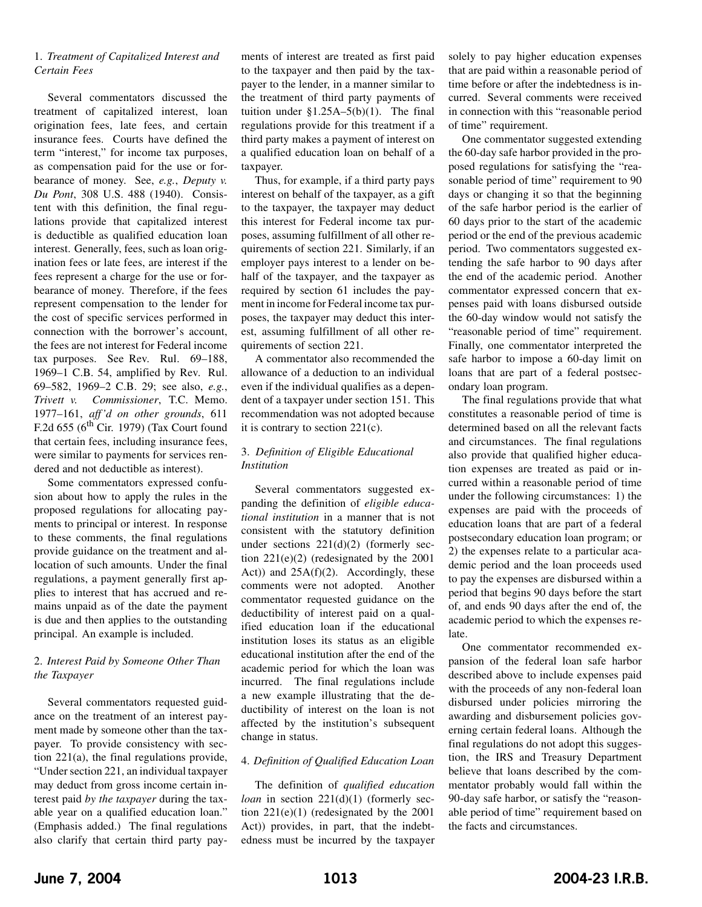### 1. *Treatment of Capitalized Interest and Certain Fees*

Several commentators discussed the treatment of capitalized interest, loan origination fees, late fees, and certain insurance fees. Courts have defined the term "interest," for income tax purposes, as compensation paid for the use or forbearance of money. See, *e.g.*, *Deputy v. Du Pont*, 308 U.S. 488 (1940). Consistent with this definition, the final regulations provide that capitalized interest is deductible as qualified education loan interest. Generally, fees, such as loan origination fees or late fees, are interest if the fees represent a charge for the use or forbearance of money. Therefore, if the fees represent compensation to the lender for the cost of specific services performed in connection with the borrower 's account, the fees are not interest for Federal income tax purposes. See Rev. Rul. 69–188, 1969–1 C.B. 54, amplified by Rev. Rul. 69–582, 1969–2 C.B. 29; see also, *e.g.*, *Trivett v. Commissioner*, T.C. Memo. 1977–161, *aff 'd on other grounds*, 611 F.2d  $655$  ( $6<sup>th</sup>$  Cir. 1979) (Tax Court found that certain fees, including insurance fees, were similar to payments for services rendered and not deductible as interest).

Some commentators expressed confusion about how to apply the rules in the proposed regulations for allocating payments to principal or interest. In response to these comments, the final regulations provide guidance on the treatment and allocation of such amounts. Under the final regulations, a payment generally first applies to interest that has accrued and remains unpaid as of the date the payment is due and then applies to the outstanding principal. An example is included.

### 2. *Interest Paid by Someone Other Than the Taxpayer*

Several commentators requested guidance on the treatment of an interest payment made by someone other than the taxpayer. To provide consistency with section 221(a), the final regulations provide, "Under section 221, an individual taxpayer may deduct from gross income certain interest paid *by the taxpayer* during the taxable year on a qualified education loan." (Emphasis added.) The final regulations also clarify that certain third party payments of interest are treated as first paid to the taxpayer and then paid by the taxpayer to the lender, in a manner similar to the treatment of third party payments of tuition under  $$1.25A-5(b)(1)$ . The final regulations provide for this treatment if a third party makes a payment of interest on a qualified education loan on behalf of a taxpayer.

Thus, for example, if a third party pays interest on behalf of the taxpayer, as a gift to the taxpayer, the taxpayer may deduct this interest for Federal income tax purposes, assuming fulfillment of all other requirements of section 221. Similarly, if an employer pays interest to a lender on behalf of the taxpayer, and the taxpayer as required by section 61 includes the payment in income for Federal income tax purposes, the taxpayer may deduct this interest, assuming fulfillment of all other requirements of section 221.

A commentator also recommended the allowance of a deduction to an individual even if the individual qualifies as a dependent of a taxpayer under section 151. This recommendation was not adopted because it is contrary to section 221(c).

### 3. *Definition of Eligible Educational Institution*

Several commentators suggested expanding the definition of *eligible educational institution* in a manner that is not consistent with the statutory definition under sections  $221(d)(2)$  (formerly section 221(e)(2) (redesignated by the 2001 Act)) and  $25A(f)(2)$ . Accordingly, these comments were not adopted. Another commentator requested guidance on the deductibility of interest paid on a qualified education loan if the educational institution loses its status as an eligible educational institution after the end of the academic period for which the loan was incurred. The final regulations include a new example illustrating that the deductibility of interest on the loan is not affected by the institution's subsequent change in status.

### 4. *Definition of Qualified Education Loan*

The definition of *qualified education loan* in section 221(d)(1) (formerly section 221(e)(1) (redesignated by the 2001 Act)) provides, in part, that the indebtedness must be incurred by the taxpayer solely to pay higher education expenses that are paid within a reasonable period of time before or after the indebtedness is incurred. Several comments were received in connection with this "reasonable period of time" requirement.

One commentator suggested extending the 60-day safe harbor provided in the proposed regulations for satisfying the "reasonable period of time" requirement to 90 days or changing it so that the beginning of the safe harbor period is the earlier of 60 days prior to the start of the academic period or the end of the previous academic period. Two commentators suggested extending the safe harbor to 90 days after the end of the academic period. Another commentator expressed concern that expenses paid with loans disbursed outside the 60-day window would not satisfy the "reasonable period of time" requirement. Finally, one commentator interpreted the safe harbor to impose a 60-day limit on loans that are part of a federal postsecondary loan program.

The final regulations provide that what constitutes a reasonable period of time is determined based on all the relevant facts and circumstances. The final regulations also provide that qualified higher education expenses are treated as paid or incurred within a reasonable period of time under the following circumstances: 1) the expenses are paid with the proceeds of education loans that are part of a federal postsecondary education loan program; or 2) the expenses relate to a particular academic period and the loan proceeds used to pay the expenses are disbursed within a period that begins 90 days before the start of, and ends 90 days after the end of, the academic period to which the expenses relate.

One commentator recommended expansion of the federal loan safe harbor described above to include expenses paid with the proceeds of any non-federal loan disbursed under policies mirroring the awarding and disbursement policies governing certain federal loans. Although the final regulations do not adopt this suggestion, the IRS and Treasury Department believe that loans described by the commentator probably would fall within the 90-day safe harbor, or satisfy the "reasonable period of time" requirement based on the facts and circumstances.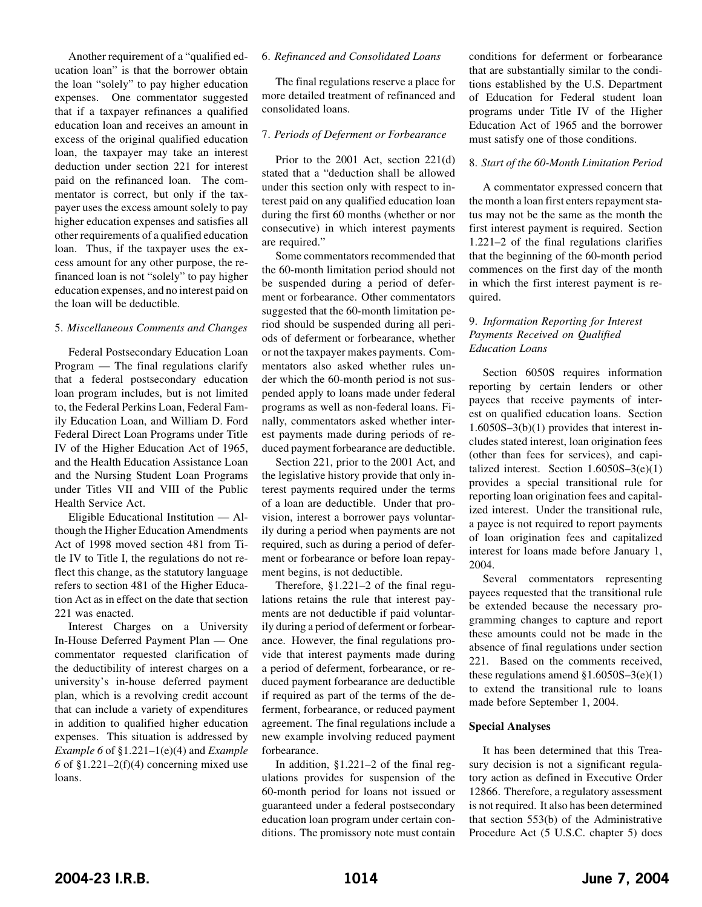Another requirement of a "qualified education loan" is that the borrower obtain the loan "solely" to pay higher education expenses. One commentator suggested that if a taxpayer refinances a qualified education loan and receives an amount in excess of the original qualified education loan, the taxpayer may take an interest deduction under section 221 for interest paid on the refinanced loan. The commentator is correct, but only if the taxpayer uses the excess amount solely to pay higher education expenses and satisfies all other requirements of a qualified education loan. Thus, if the taxpayer uses the excess amount for any other purpose, the refinanced loan is not "solely" to pay higher education expenses, and no interest paid on the loan will be deductible.

#### 5. *Miscellaneous Comments and Changes*

Federal Postsecondary Education Loan Program — The final regulations clarify that a federal postsecondary education loan program includes, but is not limited to, the Federal Perkins Loan, Federal Family Education Loan, and William D. Ford Federal Direct Loan Programs under Title IV of the Higher Education Act of 1965, and the Health Education Assistance Loan and the Nursing Student Loan Programs under Titles VII and VIII of the Public Health Service Act.

Eligible Educational Institution — Although the Higher Education Amendments Act of 1998 moved section 481 from Title IV to Title I, the regulations do not reflect this change, as the statutory language refers to section 481 of the Higher Education Act as in effect on the date that section 221 was enacted.

Interest Charges on a University In-House Deferred Payment Plan — One commentator requested clarification of the deductibility of interest charges on a university's in-house deferred payment plan, which is a revolving credit account that can include a variety of expenditures in addition to qualified higher education expenses. This situation is addressed by *Example 6* of §1.221–1(e)(4) and *Example 6* of §1.221–2(f)(4) concerning mixed use loans.

#### 6. *Refinanced and Consolidated Loans*

The final regulations reserve a place for more detailed treatment of refinanced and consolidated loans.

### 7. *Periods of Deferment or Forbearance*

Prior to the 2001 Act, section 221(d) stated that a "deduction shall be allowed under this section only with respect to interest paid on any qualified education loan during the first 60 months (whether or nor consecutive) in which interest payments are required."

Some commentators recommended that the 60-month limitation period should not be suspended during a period of deferment or forbearance. Other commentators suggested that the 60-month limitation period should be suspended during all periods of deferment or forbearance, whether or not the taxpayer makes payments. Commentators also asked whether rules under which the 60-month period is not suspended apply to loans made under federal programs as well as non-federal loans. Finally, commentators asked whether interest payments made during periods of reduced payment forbearance are deductible.

Section 221, prior to the 2001 Act, and the legislative history provide that only interest payments required under the terms of a loan are deductible. Under that provision, interest a borrower pays voluntarily during a period when payments are not required, such as during a period of deferment or forbearance or before loan repayment begins, is not deductible.

Therefore, §1.221–2 of the final regulations retains the rule that interest payments are not deductible if paid voluntarily during a period of deferment or forbearance. However, the final regulations provide that interest payments made during a period of deferment, forbearance, or reduced payment forbearance are deductible if required as part of the terms of the deferment, forbearance, or reduced payment agreement. The final regulations include a new example involving reduced payment forbearance.

In addition, §1.221–2 of the final regulations provides for suspension of the 60-month period for loans not issued or guaranteed under a federal postsecondary education loan program under certain conditions. The promissory note must contain conditions for deferment or forbearance that are substantially similar to the conditions established by the U.S. Department of Education for Federal student loan programs under Title IV of the Higher Education Act of 1965 and the borrower must satisfy one of those conditions.

#### 8. *Start of the 60-Month Limitation Period*

A commentator expressed concern that the month a loan first enters repayment status may not be the same as the month the first interest payment is required. Section 1.221–2 of the final regulations clarifies that the beginning of the 60-month period commences on the first day of the month in which the first interest payment is required.

### 9. *Information Reporting for Interest Payments Received on Qualified Education Loans*

Section 6050S requires information reporting by certain lenders or other payees that receive payments of interest on qualified education loans. Section 1.6050S–3(b)(1) provides that interest includes stated interest, loan origination fees (other than fees for services), and capitalized interest. Section  $1.6050S-3(e)(1)$ provides a special transitional rule for reporting loan origination fees and capitalized interest. Under the transitional rule, a payee is not required to report payments of loan origination fees and capitalized interest for loans made before January 1, 2004.

Several commentators representing payees requested that the transitional rule be extended because the necessary programming changes to capture and report these amounts could not be made in the absence of final regulations under section 221. Based on the comments received, these regulations amend  $$1.6050S-3(e)(1)$ to extend the transitional rule to loans made before September 1, 2004.

#### **Special Analyses**

It has been determined that this Treasury decision is not a significant regulatory action as defined in Executive Order 12866. Therefore, a regulatory assessment is not required. It also has been determined that section 553(b) of the Administrative Procedure Act (5 U.S.C. chapter 5) does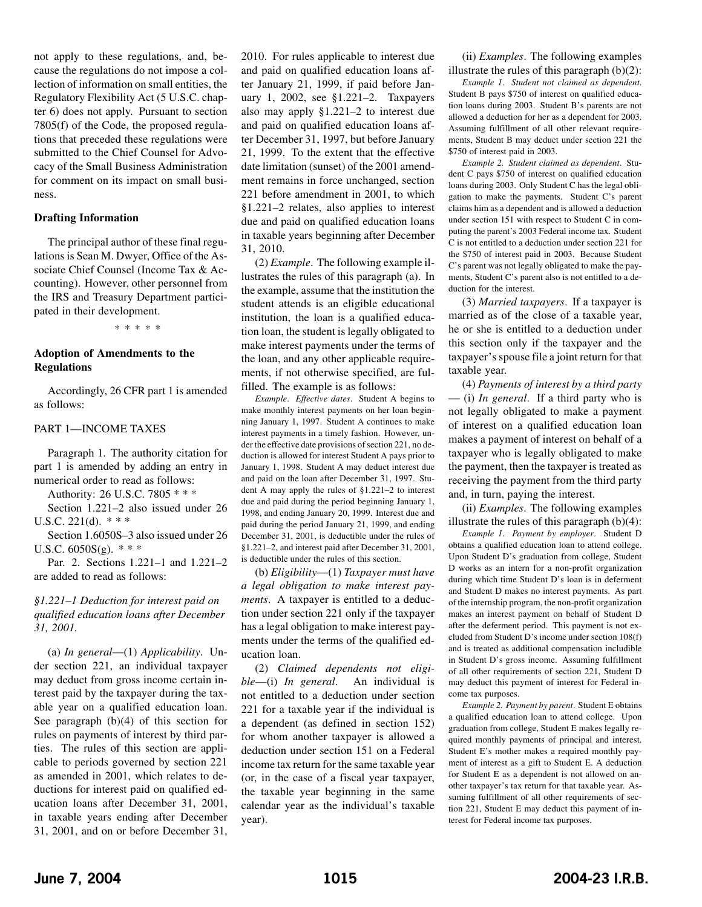not apply to these regulations, and, because the regulations do not impose a collection of information on small entities, the Regulatory Flexibility Act (5 U.S.C. chapter 6) does not apply. Pursuant to section 7805(f) of the Code, the proposed regulations that preceded these regulations were submitted to the Chief Counsel for Advocacy of the Small Business Administration for comment on its impact on small business.

#### **Drafting Information**

The principal author of these final regulations is Sean M. Dwyer, Office of the Associate Chief Counsel (Income Tax & Accounting). However, other personnel from the IRS and Treasury Department participated in their development.

\*\*\*\*\*

### **Adoption of Amendments to the Regulations**

Accordingly, 26 CFR part 1 is amended as follows:

#### PART 1—INCOME TAXES

Paragraph 1. The authority citation for part 1 is amended by adding an entry in numerical order to read as follows:

Authority: 26 U.S.C. 7805 \* \* \*

Section 1.221–2 also issued under 26 U.S.C. 221(d). \* \* \*

Section 1.6050S–3 also issued under 26 U.S.C.  $6050S(g)$ . \* \* \*

Par. 2. Sections 1.221–1 and 1.221–2 are added to read as follows:

*§1.221–1 Deduction for interest paid on qualified education loans after December 31, 2001.* 

(a) *In general*—(1) *Applicability*. Under section 221, an individual taxpayer may deduct from gross income certain interest paid by the taxpayer during the taxable year on a qualified education loan. See paragraph (b)(4) of this section for rules on payments of interest by third parties. The rules of this section are applicable to periods governed by section 221 as amended in 2001, which relates to deductions for interest paid on qualified education loans after December 31, 2001, in taxable years ending after December 31, 2001, and on or before December 31,

2010. For rules applicable to interest due and paid on qualified education loans after January 21, 1999, if paid before January 1, 2002, see §1.221–2. Taxpayers also may apply §1.221–2 to interest due and paid on qualified education loans after December 31, 1997, but before January 21, 1999. To the extent that the effective date limitation (sunset) of the 2001 amendment remains in force unchanged, section 221 before amendment in 2001, to which §1.221–2 relates, also applies to interest due and paid on qualified education loans in taxable years beginning after December 31, 2010.

(2) *Example*. The following example illustrates the rules of this paragraph (a). In the example, assume that the institution the student attends is an eligible educational institution, the loan is a qualified education loan, the student is legally obligated to make interest payments under the terms of the loan, and any other applicable requirements, if not otherwise specified, are fulfilled. The example is as follows:

*Example*. *Effective dates*. Student A begins to make monthly interest payments on her loan beginning January 1, 1997. Student A continues to make interest payments in a timely fashion. However, under the effective date provisions of section 221, no deduction is allowed for interest Student A pays prior to January 1, 1998. Student A may deduct interest due and paid on the loan after December 31, 1997. Student A may apply the rules of §1.221–2 to interest due and paid during the period beginning January 1, 1998, and ending January 20, 1999. Interest due and paid during the period January 21, 1999, and ending December 31, 2001, is deductible under the rules of §1.221–2, and interest paid after December 31, 2001, is deductible under the rules of this section.

(b) *Eligibility*—(1) *Taxpayer must have a legal obligation to make interest payments*. A taxpayer is entitled to a deduction under section 221 only if the taxpayer has a legal obligation to make interest payments under the terms of the qualified education loan.

(2) *Claimed dependents not eligible*—(i) *In general*. An individual is not entitled to a deduction under section 221 for a taxable year if the individual is a dependent (as defined in section 152) for whom another taxpayer is allowed a deduction under section 151 on a Federal income tax return for the same taxable year (or, in the case of a fiscal year taxpayer, the taxable year beginning in the same calendar year as the individual's taxable year).

(ii) *Examples*. The following examples illustrate the rules of this paragraph  $(b)(2)$ :

*Example 1*. *Student not claimed as dependent*. Student B pays \$750 of interest on qualified education loans during 2003. Student B's parents are not allowed a deduction for her as a dependent for 2003. Assuming fulfillment of all other relevant requirements, Student B may deduct under section 221 the \$750 of interest paid in 2003.

*Example 2. Student claimed as dependent*. Student C pays \$750 of interest on qualified education loans during 2003. Only Student C has the legal obligation to make the payments. Student C's parent claims him as a dependent and is allowed a deduction under section 151 with respect to Student C in computing the parent's 2003 Federal income tax. Student C is not entitled to a deduction under section 221 for the \$750 of interest paid in 2003. Because Student C's parent was not legally obligated to make the payments, Student C's parent also is not entitled to a deduction for the interest.

(3) *Married taxpayers*. If a taxpayer is married as of the close of a taxable year, he or she is entitled to a deduction under this section only if the taxpayer and the taxpayer's spouse file a joint return for that taxable year.

(4) *Payments of interest by a third party*  — (i) *In general*. If a third party who is not legally obligated to make a payment of interest on a qualified education loan makes a payment of interest on behalf of a taxpayer who is legally obligated to make the payment, then the taxpayer is treated as receiving the payment from the third party and, in turn, paying the interest.

(ii) *Examples*. The following examples illustrate the rules of this paragraph  $(b)(4)$ :

*Example 1*. *Payment by employer*. Student D obtains a qualified education loan to attend college. Upon Student D's graduation from college, Student D works as an intern for a non-profit organization during which time Student D's loan is in deferment and Student D makes no interest payments. As part of the internship program, the non-profit organization makes an interest payment on behalf of Student D after the deferment period. This payment is not excluded from Student D's income under section 108(f) and is treated as additional compensation includible in Student D's gross income. Assuming fulfillment of all other requirements of section 221, Student D may deduct this payment of interest for Federal income tax purposes.

*Example 2. Payment by parent*. Student E obtains a qualified education loan to attend college. Upon graduation from college, Student E makes legally required monthly payments of principal and interest. Student E's mother makes a required monthly payment of interest as a gift to Student E. A deduction for Student E as a dependent is not allowed on another taxpayer's tax return for that taxable year. Assuming fulfillment of all other requirements of section 221, Student E may deduct this payment of interest for Federal income tax purposes.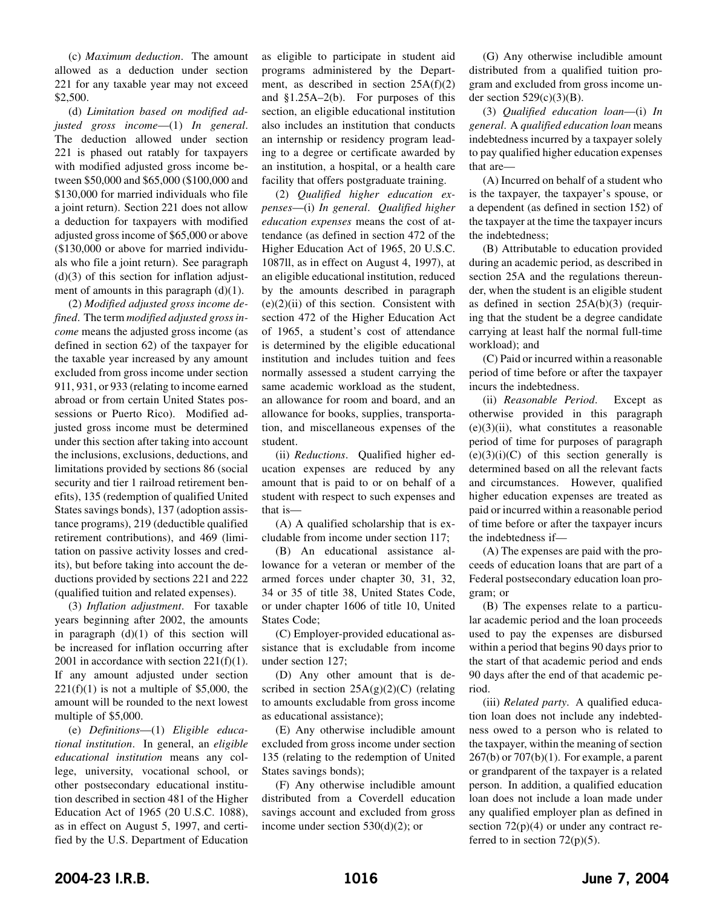(c) *Maximum deduction*. The amount allowed as a deduction under section 221 for any taxable year may not exceed \$2,500.

(d) *Limitation based on modified adjusted gross income*—(1) *In general*. The deduction allowed under section 221 is phased out ratably for taxpayers with modified adjusted gross income between \$50,000 and \$65,000 (\$100,000 and \$130,000 for married individuals who file a joint return). Section 221 does not allow a deduction for taxpayers with modified adjusted gross income of \$65,000 or above (\$130,000 or above for married individuals who file a joint return). See paragraph  $(d)(3)$  of this section for inflation adjustment of amounts in this paragraph  $(d)(1)$ .

(2) *Modified adjusted gross income defined*. The term *modified adjusted gross income* means the adjusted gross income (as defined in section 62) of the taxpayer for the taxable year increased by any amount excluded from gross income under section 911, 931, or 933 (relating to income earned abroad or from certain United States possessions or Puerto Rico). Modified adjusted gross income must be determined under this section after taking into account the inclusions, exclusions, deductions, and limitations provided by sections 86 (social security and tier 1 railroad retirement benefits), 135 (redemption of qualified United States savings bonds), 137 (adoption assistance programs), 219 (deductible qualified retirement contributions), and 469 (limitation on passive activity losses and credits), but before taking into account the deductions provided by sections 221 and 222 (qualified tuition and related expenses).

(3) *Inflation adjustment*. For taxable years beginning after 2002, the amounts in paragraph  $(d)(1)$  of this section will be increased for inflation occurring after 2001 in accordance with section  $221(f)(1)$ . If any amount adjusted under section  $221(f)(1)$  is not a multiple of \$5,000, the amount will be rounded to the next lowest multiple of \$5,000.

(e) *Definitions*—(1) *Eligible educational institution*. In general, an *eligible educational institution* means any college, university, vocational school, or other postsecondary educational institution described in section 481 of the Higher Education Act of 1965 (20 U.S.C. 1088), as in effect on August 5, 1997, and certified by the U.S. Department of Education

as eligible to participate in student aid programs administered by the Department, as described in section  $25A(f)(2)$ and §1.25A–2(b). For purposes of this section, an eligible educational institution also includes an institution that conducts an internship or residency program leading to a degree or certificate awarded by an institution, a hospital, or a health care facility that offers postgraduate training.

(2) *Qualified higher education expenses*—(i) *In general*. *Qualified higher education expenses* means the cost of attendance (as defined in section 472 of the Higher Education Act of 1965, 20 U.S.C. 1087ll, as in effect on August 4, 1997), at an eligible educational institution, reduced by the amounts described in paragraph  $(e)(2)(ii)$  of this section. Consistent with section 472 of the Higher Education Act of 1965, a student's cost of attendance is determined by the eligible educational institution and includes tuition and fees normally assessed a student carrying the same academic workload as the student, an allowance for room and board, and an allowance for books, supplies, transportation, and miscellaneous expenses of the student.

(ii) *Reductions*. Qualified higher education expenses are reduced by any amount that is paid to or on behalf of a student with respect to such expenses and that is—

(A) A qualified scholarship that is excludable from income under section 117;

(B) An educational assistance allowance for a veteran or member of the armed forces under chapter 30, 31, 32, 34 or 35 of title 38, United States Code, or under chapter 1606 of title 10, United States Code;

(C) Employer-provided educational assistance that is excludable from income under section 127;

(D) Any other amount that is described in section  $25A(g)(2)(C)$  (relating to amounts excludable from gross income as educational assistance);

(E) Any otherwise includible amount excluded from gross income under section 135 (relating to the redemption of United States savings bonds);

(F) Any otherwise includible amount distributed from a Coverdell education savings account and excluded from gross income under section 530(d)(2); or

(G) Any otherwise includible amount distributed from a qualified tuition program and excluded from gross income under section  $529(c)(3)(B)$ .

(3) *Qualified education loan*—(i) *In general*.A *qualified education loan* means indebtedness incurred by a taxpayer solely to pay qualified higher education expenses that are—

(A) Incurred on behalf of a student who is the taxpayer, the taxpayer's spouse, or a dependent (as defined in section 152) of the taxpayer at the time the taxpayer incurs the indebtedness;

(B) Attributable to education provided during an academic period, as described in section 25A and the regulations thereunder, when the student is an eligible student as defined in section 25A(b)(3) (requiring that the student be a degree candidate carrying at least half the normal full-time workload); and

(C) Paid or incurred within a reasonable period of time before or after the taxpayer incurs the indebtedness.

(ii) *Reasonable Period*. Except as otherwise provided in this paragraph  $(e)(3)(ii)$ , what constitutes a reasonable period of time for purposes of paragraph  $(e)(3)(i)(C)$  of this section generally is determined based on all the relevant facts and circumstances. However, qualified higher education expenses are treated as paid or incurred within a reasonable period of time before or after the taxpayer incurs the indebtedness if—

(A) The expenses are paid with the proceeds of education loans that are part of a Federal postsecondary education loan program; or

(B) The expenses relate to a particular academic period and the loan proceeds used to pay the expenses are disbursed within a period that begins 90 days prior to the start of that academic period and ends 90 days after the end of that academic period.

(iii) *Related party*. A qualified education loan does not include any indebtedness owed to a person who is related to the taxpayer, within the meaning of section  $267(b)$  or  $707(b)(1)$ . For example, a parent or grandparent of the taxpayer is a related person. In addition, a qualified education loan does not include a loan made under any qualified employer plan as defined in section  $72(p)(4)$  or under any contract referred to in section  $72(p)(5)$ .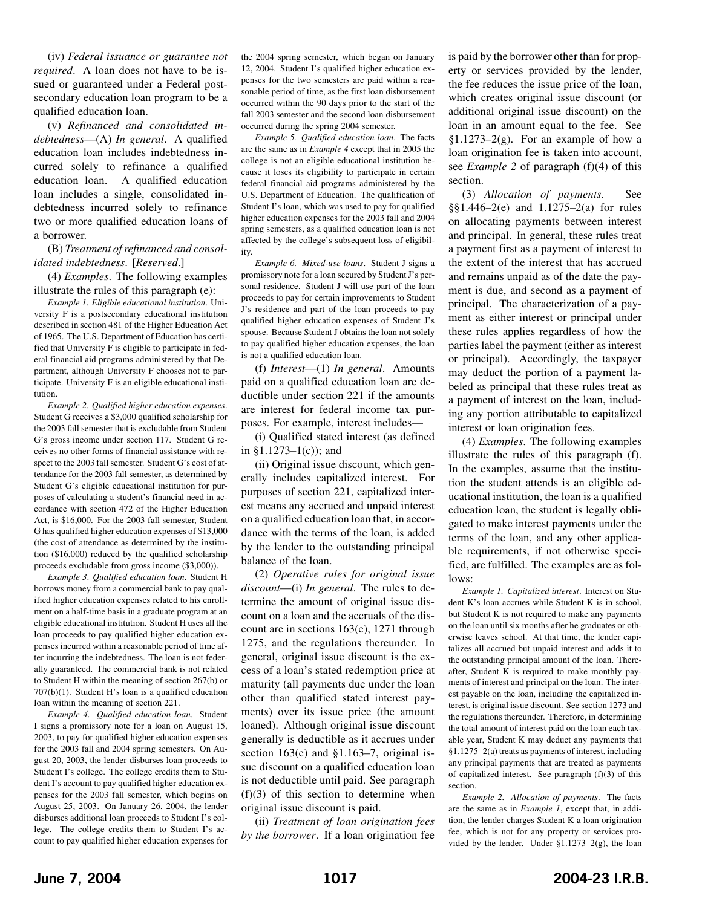(iv) *Federal issuance or guarantee not required*. A loan does not have to be issued or guaranteed under a Federal postsecondary education loan program to be a qualified education loan.

(v) *Refinanced and consolidated indebtedness*—(A) *In general*. A qualified education loan includes indebtedness incurred solely to refinance a qualified education loan. A qualified education loan includes a single, consolidated indebtedness incurred solely to refinance two or more qualified education loans of a borrower.

#### (B) *Treatment of refinanced and consolidated indebtedness*. [*Reserved*.]

(4) *Examples*. The following examples illustrate the rules of this paragraph (e):

*Example 1*. *Eligible educational institution*. University F is a postsecondary educational institution described in section 481 of the Higher Education Act of 1965. The U.S. Department of Education has certified that University F is eligible to participate in federal financial aid programs administered by that Department, although University F chooses not to participate. University F is an eligible educational institution.

*Example 2*. *Qualified higher education expenses*. Student G receives a \$3,000 qualified scholarship for the 2003 fall semester that is excludable from Student G's gross income under section 117. Student G receives no other forms of financial assistance with respect to the 2003 fall semester. Student G's cost of attendance for the 2003 fall semester, as determined by Student G's eligible educational institution for purposes of calculating a student's financial need in accordance with section 472 of the Higher Education Act, is \$16,000. For the 2003 fall semester, Student G has qualified higher education expenses of \$13,000 (the cost of attendance as determined by the institution (\$16,000) reduced by the qualified scholarship proceeds excludable from gross income (\$3,000)).

*Example 3*. *Qualified education loan*. Student H borrows money from a commercial bank to pay qualified higher education expenses related to his enrollment on a half-time basis in a graduate program at an eligible educational institution. Student H uses all the loan proceeds to pay qualified higher education expenses incurred within a reasonable period of time after incurring the indebtedness. The loan is not federally guaranteed. The commercial bank is not related to Student H within the meaning of section 267(b) or 707(b)(1). Student H's loan is a qualified education loan within the meaning of section 221.

*Example 4. Qualified education loan*. Student I signs a promissory note for a loan on August 15, 2003, to pay for qualified higher education expenses for the 2003 fall and 2004 spring semesters. On August 20, 2003, the lender disburses loan proceeds to Student I's college. The college credits them to Student I's account to pay qualified higher education expenses for the 2003 fall semester, which begins on August 25, 2003. On January 26, 2004, the lender disburses additional loan proceeds to Student I's college. The college credits them to Student I's account to pay qualified higher education expenses for

the 2004 spring semester, which began on January 12, 2004. Student I's qualified higher education expenses for the two semesters are paid within a reasonable period of time, as the first loan disbursement occurred within the 90 days prior to the start of the fall 2003 semester and the second loan disbursement occurred during the spring 2004 semester.

*Example 5. Qualified education loan*. The facts are the same as in *Example 4* except that in 2005 the college is not an eligible educational institution because it loses its eligibility to participate in certain federal financial aid programs administered by the U.S. Department of Education. The qualification of Student I's loan, which was used to pay for qualified higher education expenses for the 2003 fall and 2004 spring semesters, as a qualified education loan is not affected by the college's subsequent loss of eligibility.

*Example 6. Mixed-use loans*. Student J signs a promissory note for a loan secured by Student J's personal residence. Student J will use part of the loan proceeds to pay for certain improvements to Student J's residence and part of the loan proceeds to pay qualified higher education expenses of Student J's spouse. Because Student J obtains the loan not solely to pay qualified higher education expenses, the loan is not a qualified education loan.

(f) *Interest*—(1) *In general*. Amounts paid on a qualified education loan are deductible under section 221 if the amounts are interest for federal income tax purposes. For example, interest includes—

(i) Qualified stated interest (as defined in  $$1.1273-1(c)$ ; and

(ii) Original issue discount, which generally includes capitalized interest. For purposes of section 221, capitalized interest means any accrued and unpaid interest on a qualified education loan that, in accordance with the terms of the loan, is added by the lender to the outstanding principal balance of the loan.

(2) *Operative rules for original issue discount*—(i) *In general*. The rules to determine the amount of original issue discount on a loan and the accruals of the discount are in sections 163(e), 1271 through 1275, and the regulations thereunder. In general, original issue discount is the excess of a loan's stated redemption price at maturity (all payments due under the loan other than qualified stated interest payments) over its issue price (the amount loaned). Although original issue discount generally is deductible as it accrues under section 163(e) and §1.163–7, original issue discount on a qualified education loan is not deductible until paid. See paragraph  $(f)(3)$  of this section to determine when original issue discount is paid.

(ii) *Treatment of loan origination fees by the borrower*. If a loan origination fee

is paid by the borrower other than for property or services provided by the lender, the fee reduces the issue price of the loan, which creates original issue discount (or additional original issue discount) on the loan in an amount equal to the fee. See §1.1273–2 $(g)$ . For an example of how a loan origination fee is taken into account, see *Example 2* of paragraph (f)(4) of this section.

(3) *Allocation of payments*. See §§1.446–2(e) and 1.1275–2(a) for rules on allocating payments between interest and principal. In general, these rules treat a payment first as a payment of interest to the extent of the interest that has accrued and remains unpaid as of the date the payment is due, and second as a payment of principal. The characterization of a payment as either interest or principal under these rules applies regardless of how the parties label the payment (either as interest or principal). Accordingly, the taxpayer may deduct the portion of a payment labeled as principal that these rules treat as a payment of interest on the loan, including any portion attributable to capitalized interest or loan origination fees.

(4) *Examples*. The following examples illustrate the rules of this paragraph (f). In the examples, assume that the institution the student attends is an eligible educational institution, the loan is a qualified education loan, the student is legally obligated to make interest payments under the terms of the loan, and any other applicable requirements, if not otherwise specified, are fulfilled. The examples are as follows:

*Example 1. Capitalized interest*. Interest on Student K's loan accrues while Student K is in school, but Student K is not required to make any payments on the loan until six months after he graduates or otherwise leaves school. At that time, the lender capitalizes all accrued but unpaid interest and adds it to the outstanding principal amount of the loan. Thereafter, Student K is required to make monthly payments of interest and principal on the loan. The interest payable on the loan, including the capitalized interest, is original issue discount. See section 1273 and the regulations thereunder. Therefore, in determining the total amount of interest paid on the loan each taxable year, Student K may deduct any payments that §1.1275–2(a) treats as payments of interest, including any principal payments that are treated as payments of capitalized interest. See paragraph (f)(3) of this section.

*Example 2. Allocation of payments*. The facts are the same as in *Example 1*, except that, in addition, the lender charges Student K a loan origination fee, which is not for any property or services provided by the lender. Under §1.1273–2(g), the loan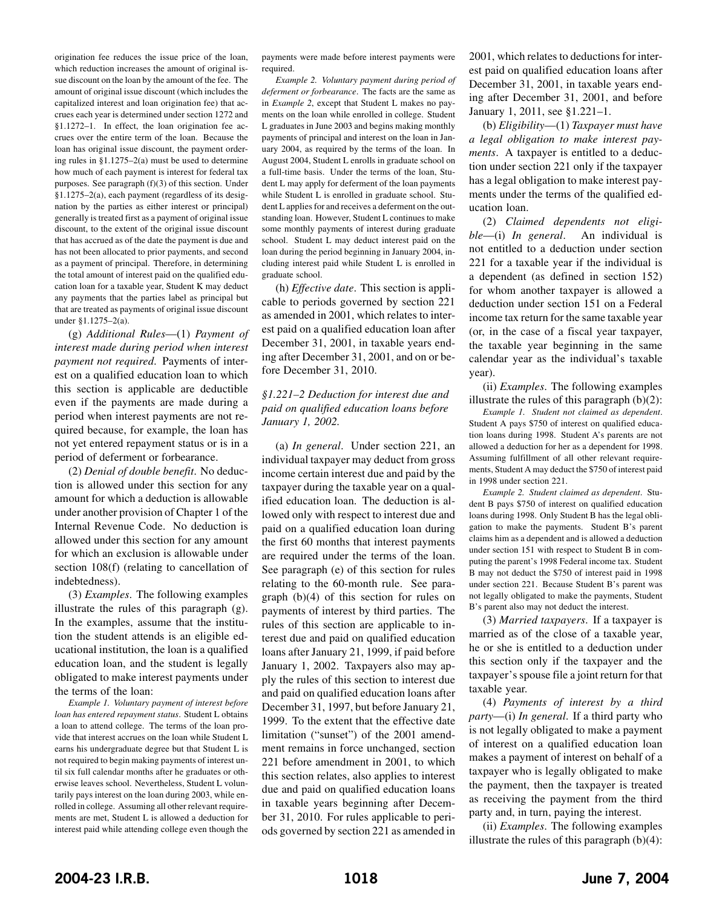origination fee reduces the issue price of the loan, which reduction increases the amount of original issue discount on the loan by the amount of the fee. The amount of original issue discount (which includes the capitalized interest and loan origination fee) that accrues each year is determined under section 1272 and §1.1272–1. In effect, the loan origination fee accrues over the entire term of the loan. Because the loan has original issue discount, the payment ordering rules in §1.1275–2(a) must be used to determine how much of each payment is interest for federal tax purposes. See paragraph (f)(3) of this section. Under §1.1275–2(a), each payment (regardless of its designation by the parties as either interest or principal) generally is treated first as a payment of original issue discount, to the extent of the original issue discount that has accrued as of the date the payment is due and has not been allocated to prior payments, and second as a payment of principal. Therefore, in determining the total amount of interest paid on the qualified education loan for a taxable year, Student K may deduct any payments that the parties label as principal but that are treated as payments of original issue discount under §1.1275–2(a).

(g) *Additional Rules*—(1) *Payment of interest made during period when interest payment not required*. Payments of interest on a qualified education loan to which this section is applicable are deductible even if the payments are made during a period when interest payments are not required because, for example, the loan has not yet entered repayment status or is in a period of deferment or forbearance.

(2) *Denial of double benefit*. No deduction is allowed under this section for any amount for which a deduction is allowable under another provision of Chapter 1 of the Internal Revenue Code. No deduction is allowed under this section for any amount for which an exclusion is allowable under section 108(f) (relating to cancellation of indebtedness).

(3) *Examples*. The following examples illustrate the rules of this paragraph (g). In the examples, assume that the institution the student attends is an eligible educational institution, the loan is a qualified education loan, and the student is legally obligated to make interest payments under the terms of the loan:

*Example 1. Voluntary payment of interest before loan has entered repayment status*. Student L obtains a loan to attend college. The terms of the loan provide that interest accrues on the loan while Student L earns his undergraduate degree but that Student L is not required to begin making payments of interest until six full calendar months after he graduates or otherwise leaves school. Nevertheless, Student L voluntarily pays interest on the loan during 2003, while enrolled in college. Assuming all other relevant requirements are met, Student L is allowed a deduction for interest paid while attending college even though the

payments were made before interest payments were required.

*Example 2. Voluntary payment during period of deferment or forbearance*. The facts are the same as in *Example 2*, except that Student L makes no payments on the loan while enrolled in college. Student L graduates in June 2003 and begins making monthly payments of principal and interest on the loan in January 2004, as required by the terms of the loan. In August 2004, Student L enrolls in graduate school on a full-time basis. Under the terms of the loan, Student L may apply for deferment of the loan payments while Student L is enrolled in graduate school. Student L applies for and receives a deferment on the outstanding loan. However, Student L continues to make some monthly payments of interest during graduate school. Student L may deduct interest paid on the loan during the period beginning in January 2004, including interest paid while Student L is enrolled in graduate school.

(h) *Effective date*. This section is applicable to periods governed by section 221 as amended in 2001, which relates to interest paid on a qualified education loan after December 31, 2001, in taxable years ending after December 31, 2001, and on or before December 31, 2010.

### *§1.221–2 Deduction for interest due and paid on qualified education loans before January 1, 2002.*

(a) *In general*. Under section 221, an individual taxpayer may deduct from gross income certain interest due and paid by the taxpayer during the taxable year on a qualified education loan. The deduction is allowed only with respect to interest due and paid on a qualified education loan during the first 60 months that interest payments are required under the terms of the loan. See paragraph (e) of this section for rules relating to the 60-month rule. See paragraph (b)(4) of this section for rules on payments of interest by third parties. The rules of this section are applicable to interest due and paid on qualified education loans after January 21, 1999, if paid before January 1, 2002. Taxpayers also may apply the rules of this section to interest due and paid on qualified education loans after December 31, 1997, but before January 21, 1999. To the extent that the effective date limitation ("sunset") of the 2001 amendment remains in force unchanged, section 221 before amendment in 2001, to which this section relates, also applies to interest due and paid on qualified education loans in taxable years beginning after December 31, 2010. For rules applicable to periods governed by section 221 as amended in

2001, which relates to deductions for interest paid on qualified education loans after December 31, 2001, in taxable years ending after December 31, 2001, and before January 1, 2011, see §1.221–1.

(b) *Eligibility*—(1) *Taxpayer must have a legal obligation to make interest payments*. A taxpayer is entitled to a deduction under section 221 only if the taxpayer has a legal obligation to make interest payments under the terms of the qualified education loan.

(2) *Claimed dependents not eligible*—(i) *In general*. An individual is not entitled to a deduction under section 221 for a taxable year if the individual is a dependent (as defined in section 152) for whom another taxpayer is allowed a deduction under section 151 on a Federal income tax return for the same taxable year (or, in the case of a fiscal year taxpayer, the taxable year beginning in the same calendar year as the individual's taxable year).

(ii) *Examples*. The following examples illustrate the rules of this paragraph  $(b)(2)$ :

*Example 1. Student not claimed as dependent*. Student A pays \$750 of interest on qualified education loans during 1998. Student A's parents are not allowed a deduction for her as a dependent for 1998. Assuming fulfillment of all other relevant requirements, Student A may deduct the \$750 of interest paid in 1998 under section 221.

*Example 2. Student claimed as dependent*. Student B pays \$750 of interest on qualified education loans during 1998. Only Student B has the legal obligation to make the payments. Student B's parent claims him as a dependent and is allowed a deduction under section 151 with respect to Student B in computing the parent's 1998 Federal income tax. Student B may not deduct the \$750 of interest paid in 1998 under section 221. Because Student B's parent was not legally obligated to make the payments, Student B's parent also may not deduct the interest.

(3) *Married taxpayers*. If a taxpayer is married as of the close of a taxable year, he or she is entitled to a deduction under this section only if the taxpayer and the taxpayer's spouse file a joint return for that taxable year.

(4) *Payments of interest by a third party*—(i) *In general*. If a third party who is not legally obligated to make a payment of interest on a qualified education loan makes a payment of interest on behalf of a taxpayer who is legally obligated to make the payment, then the taxpayer is treated as receiving the payment from the third party and, in turn, paying the interest.

(ii) *Examples*. The following examples illustrate the rules of this paragraph  $(b)(4)$ :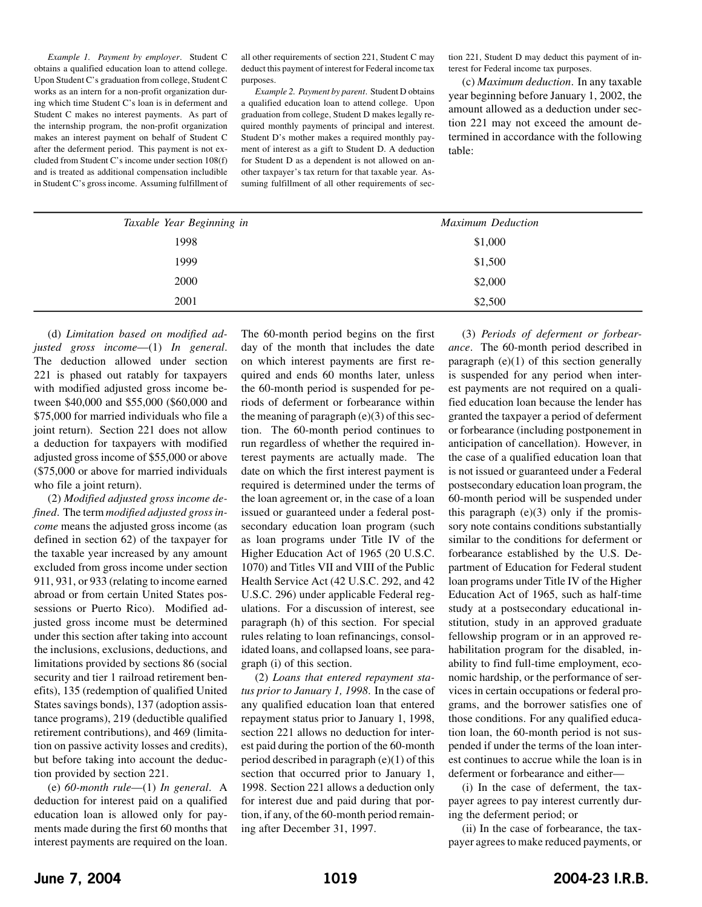*Example 1. Payment by employer*. Student C obtains a qualified education loan to attend college. Upon Student C's graduation from college, Student C works as an intern for a non-profit organization during which time Student C's loan is in deferment and Student C makes no interest payments. As part of the internship program, the non-profit organization makes an interest payment on behalf of Student C after the deferment period. This payment is not excluded from Student C's income under section 108(f) and is treated as additional compensation includible in Student C's gross income. Assuming fulfillment of all other requirements of section 221, Student C may deduct this payment of interest for Federal income tax purposes.

*Example 2. Payment by parent*. Student D obtains a qualified education loan to attend college. Upon graduation from college, Student D makes legally required monthly payments of principal and interest. Student D's mother makes a required monthly payment of interest as a gift to Student D. A deduction for Student D as a dependent is not allowed on another taxpayer's tax return for that taxable year. Assuming fulfillment of all other requirements of section 221, Student D may deduct this payment of interest for Federal income tax purposes.

(c) *Maximum deduction*. In any taxable year beginning before January 1, 2002, the amount allowed as a deduction under section 221 may not exceed the amount determined in accordance with the following table:

| Taxable Year Beginning in | <b>Maximum Deduction</b> |
|---------------------------|--------------------------|
| 1998                      | \$1,000                  |
| 1999                      | \$1,500                  |
| 2000                      | \$2,000                  |
| 2001                      | \$2,500                  |
|                           |                          |

(d) *Limitation based on modified adjusted gross income*—(1) *In general*. The deduction allowed under section 221 is phased out ratably for taxpayers with modified adjusted gross income between \$40,000 and \$55,000 (\$60,000 and \$75,000 for married individuals who file a joint return). Section 221 does not allow a deduction for taxpayers with modified adjusted gross income of \$55,000 or above (\$75,000 or above for married individuals who file a joint return).

(2) *Modified adjusted gross income defined*. The term *modified adjusted gross income* means the adjusted gross income (as defined in section 62) of the taxpayer for the taxable year increased by any amount excluded from gross income under section 911, 931, or 933 (relating to income earned abroad or from certain United States possessions or Puerto Rico). Modified adjusted gross income must be determined under this section after taking into account the inclusions, exclusions, deductions, and limitations provided by sections 86 (social security and tier 1 railroad retirement benefits), 135 (redemption of qualified United States savings bonds), 137 (adoption assistance programs), 219 (deductible qualified retirement contributions), and 469 (limitation on passive activity losses and credits), but before taking into account the deduction provided by section 221.

(e) *60-month rule*—(1) *In general*.A deduction for interest paid on a qualified education loan is allowed only for payments made during the first 60 months that interest payments are required on the loan.

The 60-month period begins on the first day of the month that includes the date on which interest payments are first required and ends 60 months later, unless the 60-month period is suspended for periods of deferment or forbearance within the meaning of paragraph  $(e)(3)$  of this section. The 60-month period continues to run regardless of whether the required interest payments are actually made. The date on which the first interest payment is required is determined under the terms of the loan agreement or, in the case of a loan issued or guaranteed under a federal postsecondary education loan program (such as loan programs under Title IV of the Higher Education Act of 1965 (20 U.S.C. 1070) and Titles VII and VIII of the Public Health Service Act (42 U.S.C. 292, and 42 U.S.C. 296) under applicable Federal regulations. For a discussion of interest, see paragraph (h) of this section. For special rules relating to loan refinancings, consolidated loans, and collapsed loans, see paragraph (i) of this section.

(2) *Loans that entered repayment status prior to January 1, 1998*. In the case of any qualified education loan that entered repayment status prior to January 1, 1998, section 221 allows no deduction for interest paid during the portion of the 60-month period described in paragraph (e)(1) of this section that occurred prior to January 1, 1998. Section 221 allows a deduction only for interest due and paid during that portion, if any, of the 60-month period remaining after December 31, 1997.

(3) *Periods of deferment or forbearance*. The 60-month period described in paragraph  $(e)(1)$  of this section generally is suspended for any period when interest payments are not required on a qualified education loan because the lender has granted the taxpayer a period of deferment or forbearance (including postponement in anticipation of cancellation). However, in the case of a qualified education loan that is not issued or guaranteed under a Federal postsecondary education loan program, the 60-month period will be suspended under this paragraph (e)(3) only if the promissory note contains conditions substantially similar to the conditions for deferment or forbearance established by the U.S. Department of Education for Federal student loan programs under Title IV of the Higher Education Act of 1965, such as half-time study at a postsecondary educational institution, study in an approved graduate fellowship program or in an approved rehabilitation program for the disabled, inability to find full-time employment, economic hardship, or the performance of services in certain occupations or federal programs, and the borrower satisfies one of those conditions. For any qualified education loan, the 60-month period is not suspended if under the terms of the loan interest continues to accrue while the loan is in deferment or forbearance and either—

(i) In the case of deferment, the taxpayer agrees to pay interest currently during the deferment period; or

(ii) In the case of forbearance, the taxpayer agrees to make reduced payments, or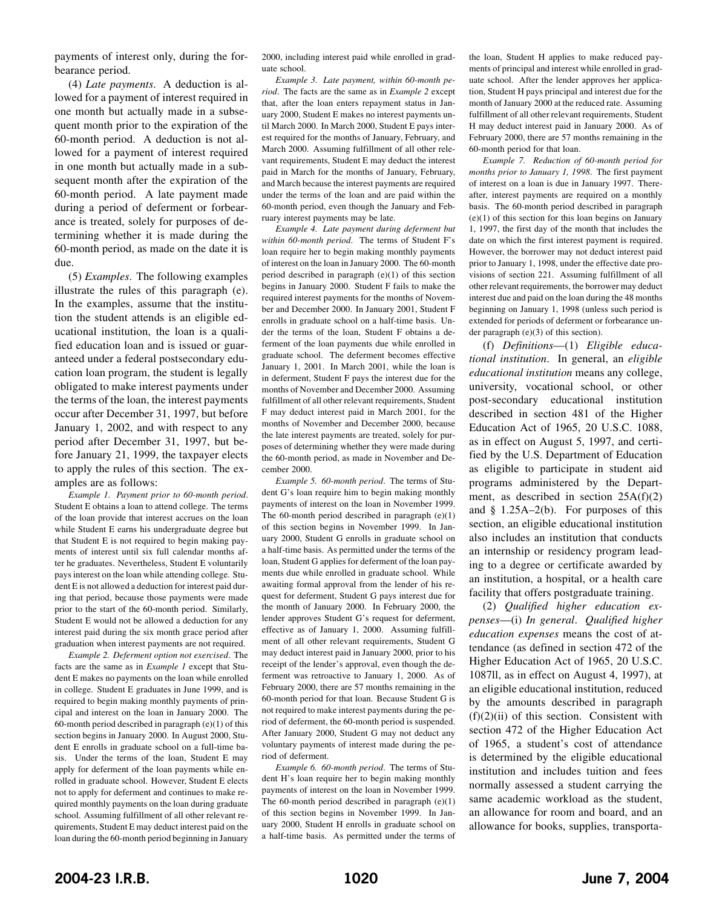payments of interest only, during the forbearance period.

(4) *Late payments*. A deduction is allowed for a payment of interest required in one month but actually made in a subsequent month prior to the expiration of the 60-month period. A deduction is not allowed for a payment of interest required in one month but actually made in a subsequent month after the expiration of the 60-month period. A late payment made during a period of deferment or forbearance is treated, solely for purposes of determining whether it is made during the 60-month period, as made on the date it is due.

(5) *Examples*. The following examples illustrate the rules of this paragraph (e). In the examples, assume that the institution the student attends is an eligible educational institution, the loan is a qualified education loan and is issued or guaranteed under a federal postsecondary education loan program, the student is legally obligated to make interest payments under the terms of the loan, the interest payments occur after December 31, 1997, but before January 1, 2002, and with respect to any period after December 31, 1997, but before January 21, 1999, the taxpayer elects to apply the rules of this section. The examples are as follows:

*Example 1. Payment prior to 60-month period*. Student E obtains a loan to attend college. The terms of the loan provide that interest accrues on the loan while Student E earns his undergraduate degree but that Student E is not required to begin making payments of interest until six full calendar months after he graduates. Nevertheless, Student E voluntarily pays interest on the loan while attending college. Student E is not allowed a deduction for interest paid during that period, because those payments were made prior to the start of the 60-month period. Similarly, Student E would not be allowed a deduction for any interest paid during the six month grace period after graduation when interest payments are not required.

*Example 2. Deferment option not exercised*. The facts are the same as in *Example 1* except that Student E makes no payments on the loan while enrolled in college. Student E graduates in June 1999, and is required to begin making monthly payments of principal and interest on the loan in January 2000. The 60-month period described in paragraph  $(e)(1)$  of this section begins in January 2000. In August 2000, Student E enrolls in graduate school on a full-time basis. Under the terms of the loan, Student E may apply for deferment of the loan payments while enrolled in graduate school. However, Student E elects not to apply for deferment and continues to make required monthly payments on the loan during graduate school. Assuming fulfillment of all other relevant requirements, Student E may deduct interest paid on the loan during the 60-month period beginning in January

2000, including interest paid while enrolled in graduate school.

*Example 3. Late payment, within 60-month period*. The facts are the same as in *Example 2* except that, after the loan enters repayment status in January 2000, Student E makes no interest payments until March 2000. In March 2000, Student E pays interest required for the months of January, February, and March 2000. Assuming fulfillment of all other relevant requirements, Student E may deduct the interest paid in March for the months of January, February, and March because the interest payments are required under the terms of the loan and are paid within the 60-month period, even though the January and February interest payments may be late.

*Example 4. Late payment during deferment but within 60-month period*. The terms of Student F's loan require her to begin making monthly payments of interest on the loan in January 2000. The 60-month period described in paragraph (e)(1) of this section begins in January 2000. Student F fails to make the required interest payments for the months of November and December 2000. In January 2001, Student F enrolls in graduate school on a half-time basis. Under the terms of the loan, Student F obtains a deferment of the loan payments due while enrolled in graduate school. The deferment becomes effective January 1, 2001. In March 2001, while the loan is in deferment, Student F pays the interest due for the months of November and December 2000. Assuming fulfillment of all other relevant requirements, Student F may deduct interest paid in March 2001, for the months of November and December 2000, because the late interest payments are treated, solely for purposes of determining whether they were made during the 60-month period, as made in November and December 2000.

*Example 5. 60-month period*. The terms of Student G's loan require him to begin making monthly payments of interest on the loan in November 1999. The 60-month period described in paragraph (e)(1) of this section begins in November 1999. In January 2000, Student G enrolls in graduate school on a half-time basis. As permitted under the terms of the loan, Student G applies for deferment of the loan payments due while enrolled in graduate school. While awaiting formal approval from the lender of his request for deferment, Student G pays interest due for the month of January 2000. In February 2000, the lender approves Student G's request for deferment, effective as of January 1, 2000. Assuming fulfillment of all other relevant requirements, Student G may deduct interest paid in January 2000, prior to his receipt of the lender's approval, even though the deferment was retroactive to January 1, 2000. As of February 2000, there are 57 months remaining in the 60-month period for that loan. Because Student G is not required to make interest payments during the period of deferment, the 60-month period is suspended. After January 2000, Student G may not deduct any voluntary payments of interest made during the period of deferment.

*Example 6. 60-month period*. The terms of Student H's loan require her to begin making monthly payments of interest on the loan in November 1999. The 60-month period described in paragraph  $(e)(1)$ of this section begins in November 1999. In January 2000, Student H enrolls in graduate school on a half-time basis. As permitted under the terms of

the loan, Student H applies to make reduced payments of principal and interest while enrolled in graduate school. After the lender approves her application, Student H pays principal and interest due for the month of January 2000 at the reduced rate. Assuming fulfillment of all other relevant requirements, Student H may deduct interest paid in January 2000. As of February 2000, there are 57 months remaining in the 60-month period for that loan.

*Example 7. Reduction of 60-month period for months prior to January 1, 1998*. The first payment of interest on a loan is due in January 1997. Thereafter, interest payments are required on a monthly basis. The 60-month period described in paragraph  $(e)(1)$  of this section for this loan begins on January 1, 1997, the first day of the month that includes the date on which the first interest payment is required. However, the borrower may not deduct interest paid prior to January 1, 1998, under the effective date provisions of section 221. Assuming fulfillment of all other relevant requirements, the borrower may deduct interest due and paid on the loan during the 48 months beginning on January 1, 1998 (unless such period is extended for periods of deferment or forbearance under paragraph (e)(3) of this section).

(f) *Definitions*—(1) *Eligible educational institution*. In general, an *eligible educational institution* means any college, university, vocational school, or other post-secondary educational institution described in section 481 of the Higher Education Act of 1965, 20 U.S.C. 1088, as in effect on August 5, 1997, and certified by the U.S. Department of Education as eligible to participate in student aid programs administered by the Department, as described in section 25A(f)(2) and  $§$  1.25A–2(b). For purposes of this section, an eligible educational institution also includes an institution that conducts an internship or residency program leading to a degree or certificate awarded by an institution, a hospital, or a health care facility that offers postgraduate training.

(2) *Qualified higher education expenses*—(i) *In general*. *Qualified higher education expenses* means the cost of attendance (as defined in section 472 of the Higher Education Act of 1965, 20 U.S.C. 1087ll, as in effect on August 4, 1997), at an eligible educational institution, reduced by the amounts described in paragraph  $(f)(2)(ii)$  of this section. Consistent with section 472 of the Higher Education Act of 1965, a student's cost of attendance is determined by the eligible educational institution and includes tuition and fees normally assessed a student carrying the same academic workload as the student, an allowance for room and board, and an allowance for books, supplies, transporta-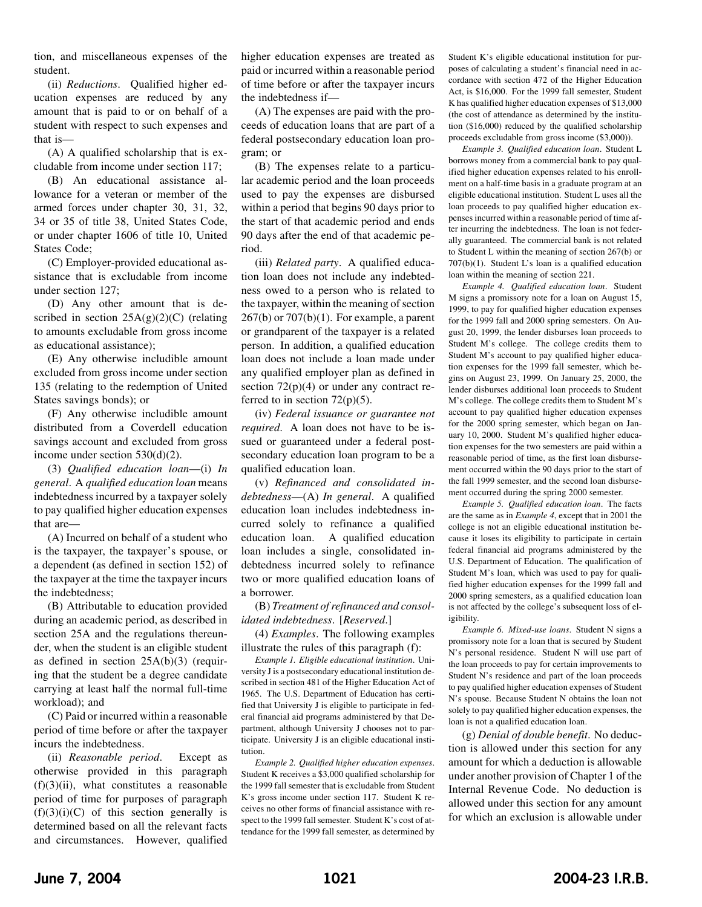tion, and miscellaneous expenses of the student.

(ii) *Reductions*. Qualified higher education expenses are reduced by any amount that is paid to or on behalf of a student with respect to such expenses and that is—

(A) A qualified scholarship that is excludable from income under section 117;

(B) An educational assistance allowance for a veteran or member of the armed forces under chapter 30, 31, 32, 34 or 35 of title 38, United States Code, or under chapter 1606 of title 10, United States Code;

(C) Employer-provided educational assistance that is excludable from income under section 127;

(D) Any other amount that is described in section  $25A(g)(2)(C)$  (relating to amounts excludable from gross income as educational assistance);

(E) Any otherwise includible amount excluded from gross income under section 135 (relating to the redemption of United States savings bonds); or

(F) Any otherwise includible amount distributed from a Coverdell education savings account and excluded from gross income under section 530(d)(2).

(3) *Qualified education loan*—(i) *In general*.A *qualified education loan* means indebtedness incurred by a taxpayer solely to pay qualified higher education expenses that are—

(A) Incurred on behalf of a student who is the taxpayer, the taxpayer's spouse, or a dependent (as defined in section 152) of the taxpayer at the time the taxpayer incurs the indebtedness;

(B) Attributable to education provided during an academic period, as described in section 25A and the regulations thereunder, when the student is an eligible student as defined in section 25A(b)(3) (requiring that the student be a degree candidate carrying at least half the normal full-time workload); and

(C) Paid or incurred within a reasonable period of time before or after the taxpayer incurs the indebtedness.

(ii) *Reasonable period*. Except as otherwise provided in this paragraph  $(f)(3)(ii)$ , what constitutes a reasonable period of time for purposes of paragraph  $(f)(3)(i)(C)$  of this section generally is determined based on all the relevant facts and circumstances. However, qualified

higher education expenses are treated as paid or incurred within a reasonable period of time before or after the taxpayer incurs the indebtedness if—

(A) The expenses are paid with the proceeds of education loans that are part of a federal postsecondary education loan program; or

(B) The expenses relate to a particular academic period and the loan proceeds used to pay the expenses are disbursed within a period that begins 90 days prior to the start of that academic period and ends 90 days after the end of that academic period.

(iii) *Related party*. A qualified education loan does not include any indebtedness owed to a person who is related to the taxpayer, within the meaning of section  $267(b)$  or  $707(b)(1)$ . For example, a parent or grandparent of the taxpayer is a related person. In addition, a qualified education loan does not include a loan made under any qualified employer plan as defined in section  $72(p)(4)$  or under any contract referred to in section  $72(p)(5)$ .

(iv) *Federal issuance or guarantee not required*. A loan does not have to be issued or guaranteed under a federal postsecondary education loan program to be a qualified education loan.

(v) *Refinanced and consolidated indebtedness*—(A) *In general*. A qualified education loan includes indebtedness incurred solely to refinance a qualified education loan. A qualified education loan includes a single, consolidated indebtedness incurred solely to refinance two or more qualified education loans of a borrower.

(B) *Treatment of refinanced and consolidated indebtedness*. [*Reserved*.]

(4) *Examples*. The following examples illustrate the rules of this paragraph (f):

*Example 1. Eligible educational institution*. University J is a postsecondary educational institution described in section 481 of the Higher Education Act of 1965. The U.S. Department of Education has certified that University J is eligible to participate in federal financial aid programs administered by that Department, although University J chooses not to participate. University J is an eligible educational institution.

*Example 2. Qualified higher education expenses*. Student K receives a \$3,000 qualified scholarship for the 1999 fall semester that is excludable from Student K's gross income under section 117. Student K receives no other forms of financial assistance with respect to the 1999 fall semester. Student K's cost of attendance for the 1999 fall semester, as determined by

Student K's eligible educational institution for purposes of calculating a student's financial need in accordance with section 472 of the Higher Education Act, is \$16,000. For the 1999 fall semester, Student K has qualified higher education expenses of \$13,000 (the cost of attendance as determined by the institution (\$16,000) reduced by the qualified scholarship proceeds excludable from gross income (\$3,000)).

*Example 3. Qualified education loan*. Student L borrows money from a commercial bank to pay qualified higher education expenses related to his enrollment on a half-time basis in a graduate program at an eligible educational institution. Student L uses all the loan proceeds to pay qualified higher education expenses incurred within a reasonable period of time after incurring the indebtedness. The loan is not federally guaranteed. The commercial bank is not related to Student L within the meaning of section 267(b) or  $707(b)(1)$ . Student L's loan is a qualified education loan within the meaning of section 221.

*Example 4. Qualified education loan*. Student M signs a promissory note for a loan on August 15, 1999, to pay for qualified higher education expenses for the 1999 fall and 2000 spring semesters. On August 20, 1999, the lender disburses loan proceeds to Student M's college. The college credits them to Student M's account to pay qualified higher education expenses for the 1999 fall semester, which begins on August 23, 1999. On January 25, 2000, the lender disburses additional loan proceeds to Student M's college. The college credits them to Student M's account to pay qualified higher education expenses for the 2000 spring semester, which began on January 10, 2000. Student M's qualified higher education expenses for the two semesters are paid within a reasonable period of time, as the first loan disbursement occurred within the 90 days prior to the start of the fall 1999 semester, and the second loan disbursement occurred during the spring 2000 semester.

*Example 5. Qualified education loan*. The facts are the same as in *Example 4*, except that in 2001 the college is not an eligible educational institution because it loses its eligibility to participate in certain federal financial aid programs administered by the U.S. Department of Education. The qualification of Student M's loan, which was used to pay for qualified higher education expenses for the 1999 fall and 2000 spring semesters, as a qualified education loan is not affected by the college's subsequent loss of eligibility.

*Example 6. Mixed-use loans*. Student N signs a promissory note for a loan that is secured by Student N's personal residence. Student N will use part of the loan proceeds to pay for certain improvements to Student N's residence and part of the loan proceeds to pay qualified higher education expenses of Student N's spouse. Because Student N obtains the loan not solely to pay qualified higher education expenses, the loan is not a qualified education loan.

(g) *Denial of double benefit*. No deduction is allowed under this section for any amount for which a deduction is allowable under another provision of Chapter 1 of the Internal Revenue Code. No deduction is allowed under this section for any amount for which an exclusion is allowable under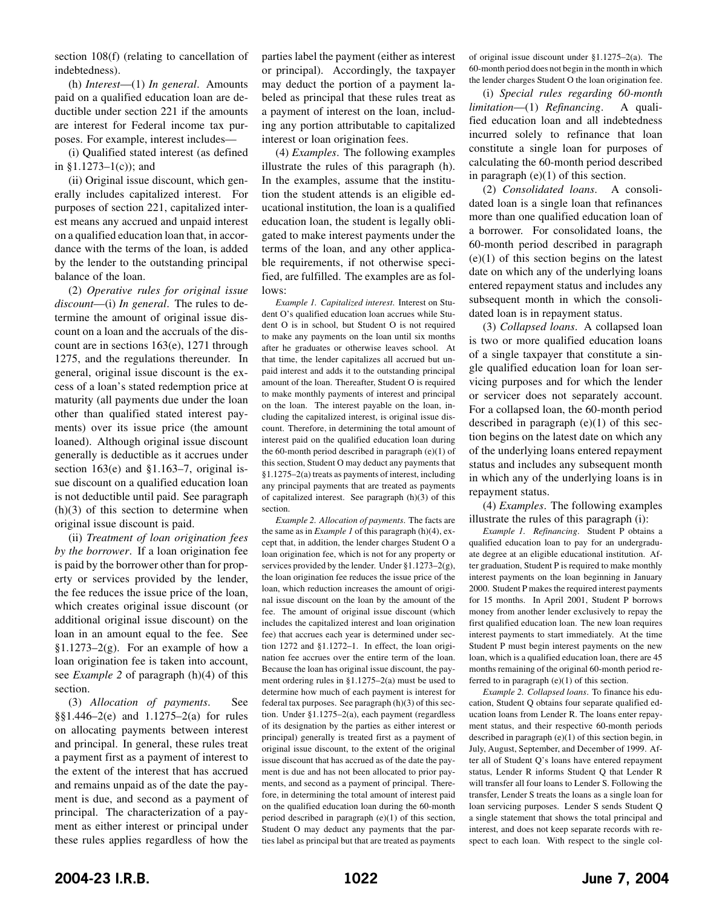section 108(f) (relating to cancellation of indebtedness).

(h) *Interest*—(1) *In general*. Amounts paid on a qualified education loan are deductible under section 221 if the amounts are interest for Federal income tax purposes. For example, interest includes—

(i) Qualified stated interest (as defined in  $$1.1273-1(c)$ ; and

(ii) Original issue discount, which generally includes capitalized interest. For purposes of section 221, capitalized interest means any accrued and unpaid interest on a qualified education loan that, in accordance with the terms of the loan, is added by the lender to the outstanding principal balance of the loan.

(2) *Operative rules for original issue discount*—(i) *In general*. The rules to determine the amount of original issue discount on a loan and the accruals of the discount are in sections 163(e), 1271 through 1275, and the regulations thereunder. In general, original issue discount is the excess of a loan's stated redemption price at maturity (all payments due under the loan other than qualified stated interest payments) over its issue price (the amount loaned). Although original issue discount generally is deductible as it accrues under section  $163(e)$  and  $$1.163-7$ , original issue discount on a qualified education loan is not deductible until paid. See paragraph  $(h)(3)$  of this section to determine when original issue discount is paid.

(ii) *Treatment of loan origination fees by the borrower*. If a loan origination fee is paid by the borrower other than for property or services provided by the lender, the fee reduces the issue price of the loan, which creates original issue discount (or additional original issue discount) on the loan in an amount equal to the fee. See §1.1273–2 $(g)$ . For an example of how a loan origination fee is taken into account, see *Example 2* of paragraph (h)(4) of this section.

(3) *Allocation of payments*. See §§1.446–2(e) and 1.1275–2(a) for rules on allocating payments between interest and principal. In general, these rules treat a payment first as a payment of interest to the extent of the interest that has accrued and remains unpaid as of the date the payment is due, and second as a payment of principal. The characterization of a payment as either interest or principal under these rules applies regardless of how the

parties label the payment (either as interest or principal). Accordingly, the taxpayer may deduct the portion of a payment labeled as principal that these rules treat as a payment of interest on the loan, including any portion attributable to capitalized interest or loan origination fees.

(4) *Examples*. The following examples illustrate the rules of this paragraph (h). In the examples, assume that the institution the student attends is an eligible educational institution, the loan is a qualified education loan, the student is legally obligated to make interest payments under the terms of the loan, and any other applicable requirements, if not otherwise specified, are fulfilled. The examples are as follows:

*Example 1. Capitalized interest*. Interest on Student O's qualified education loan accrues while Student O is in school, but Student O is not required to make any payments on the loan until six months after he graduates or otherwise leaves school. At that time, the lender capitalizes all accrued but unpaid interest and adds it to the outstanding principal amount of the loan. Thereafter, Student O is required to make monthly payments of interest and principal on the loan. The interest payable on the loan, including the capitalized interest, is original issue discount. Therefore, in determining the total amount of interest paid on the qualified education loan during the 60-month period described in paragraph (e)(1) of this section, Student O may deduct any payments that §1.1275–2(a) treats as payments of interest, including any principal payments that are treated as payments of capitalized interest. See paragraph (h)(3) of this section.

*Example 2. Allocation of payments*. The facts are the same as in *Example 1* of this paragraph (h)(4), except that, in addition, the lender charges Student O a loan origination fee, which is not for any property or services provided by the lender. Under §1.1273–2(g), the loan origination fee reduces the issue price of the loan, which reduction increases the amount of original issue discount on the loan by the amount of the fee. The amount of original issue discount (which includes the capitalized interest and loan origination fee) that accrues each year is determined under section 1272 and §1.1272–1. In effect, the loan origination fee accrues over the entire term of the loan. Because the loan has original issue discount, the payment ordering rules in §1.1275–2(a) must be used to determine how much of each payment is interest for federal tax purposes. See paragraph (h)(3) of this section. Under §1.1275–2(a), each payment (regardless of its designation by the parties as either interest or principal) generally is treated first as a payment of original issue discount, to the extent of the original issue discount that has accrued as of the date the payment is due and has not been allocated to prior payments, and second as a payment of principal. Therefore, in determining the total amount of interest paid on the qualified education loan during the 60-month period described in paragraph (e)(1) of this section, Student O may deduct any payments that the parties label as principal but that are treated as payments of original issue discount under §1.1275–2(a). The 60-month period does not begin in the month in which the lender charges Student O the loan origination fee.

(i) *Special rules regarding 60-month limitation*—(1) *Refinancing*. A qualified education loan and all indebtedness incurred solely to refinance that loan constitute a single loan for purposes of calculating the 60-month period described in paragraph (e)(1) of this section.

(2) *Consolidated loans*. A consolidated loan is a single loan that refinances more than one qualified education loan of a borrower. For consolidated loans, the 60-month period described in paragraph  $(e)(1)$  of this section begins on the latest date on which any of the underlying loans entered repayment status and includes any subsequent month in which the consolidated loan is in repayment status.

(3) *Collapsed loans*. A collapsed loan is two or more qualified education loans of a single taxpayer that constitute a single qualified education loan for loan servicing purposes and for which the lender or servicer does not separately account. For a collapsed loan, the 60-month period described in paragraph  $(e)(1)$  of this section begins on the latest date on which any of the underlying loans entered repayment status and includes any subsequent month in which any of the underlying loans is in repayment status.

(4) *Examples*. The following examples illustrate the rules of this paragraph (i):

*Example 1. Refinancing*. Student P obtains a qualified education loan to pay for an undergraduate degree at an eligible educational institution. After graduation, Student P is required to make monthly interest payments on the loan beginning in January 2000. Student P makes the required interest payments for 15 months. In April 2001, Student P borrows money from another lender exclusively to repay the first qualified education loan. The new loan requires interest payments to start immediately. At the time Student P must begin interest payments on the new loan, which is a qualified education loan, there are 45 months remaining of the original 60-month period referred to in paragraph (e)(1) of this section.

*Example 2. Collapsed loans*. To finance his education, Student Q obtains four separate qualified education loans from Lender R. The loans enter repayment status, and their respective 60-month periods described in paragraph (e)(1) of this section begin, in July, August, September, and December of 1999. After all of Student Q's loans have entered repayment status, Lender R informs Student Q that Lender R will transfer all four loans to Lender S. Following the transfer, Lender S treats the loans as a single loan for loan servicing purposes. Lender S sends Student Q a single statement that shows the total principal and interest, and does not keep separate records with respect to each loan. With respect to the single col-